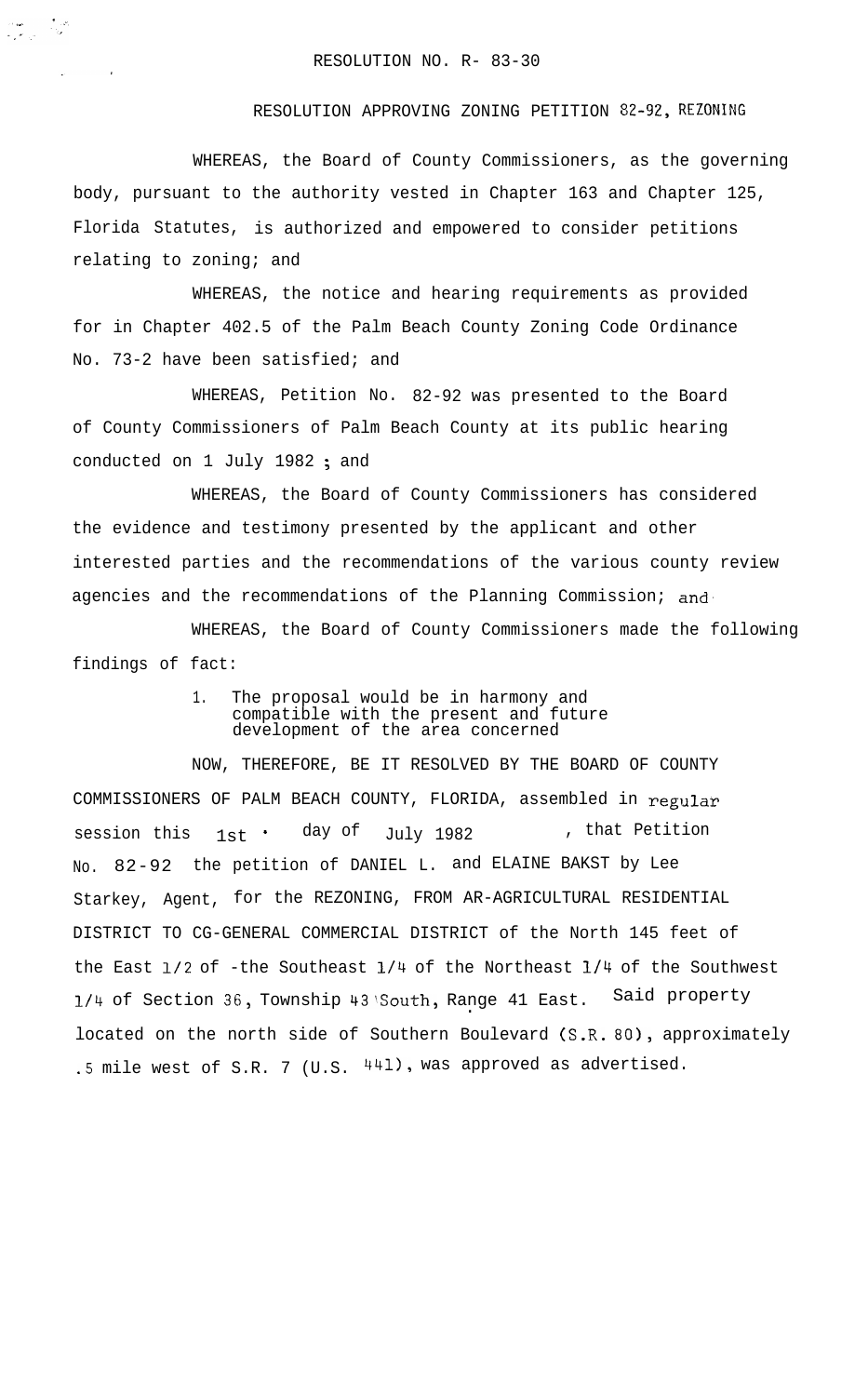$\frac{\partial \mathbf{u}}{\partial \mathbf{v}} = \frac{1}{2} \frac{\partial \mathbf{v}}{\partial \mathbf{v}}$ 

## RESOLUTION APPROVING ZONING PETITION 82-92, REZONING

WHEREAS, the Board of County Commissioners, as the governing body, pursuant to the authority vested in Chapter 163 and Chapter 125, Florida Statutes, is authorized and empowered to consider petitions relating to zoning; and

WHEREAS, the notice and hearing requirements as provided for in Chapter 402.5 of the Palm Beach County Zoning Code Ordinance No. 73-2 have been satisfied; and

WHEREAS, Petition No. 82-92 was presented to the Board of County Commissioners of Palm Beach County at its public hearing conducted on 1 July 1982 ; and

WHEREAS, the Board of County Commissioners has considered the evidence and testimony presented by the applicant and other interested parties and the recommendations of the various county review agencies and the recommendations of the Planning Commission; and

WHEREAS, the Board of County Commissioners made the following findings of fact:

> 1. The proposal would be in harmony and compatible with the present and future development of the area concerned

NOW, THEREFORE, BE IT RESOLVED BY THE BOARD OF COUNTY COMMISSIONERS OF PALM BEACH COUNTY, FLORIDA, assembled in regular session this  $1st$   $\cdot$  day of  $July$  1982 , that Petition No. 82-92 the petition of DANIEL L. and ELAINE BAKST by Lee Starkey, Agent, for the REZONING, FROM AR-AGRICULTURAL RESIDENTIAL DISTRICT TO CG-GENERAL COMMERCIAL DISTRICT of the North 145 feet of the East l/2 of -the Southeast l/4 of the Northeast l/4 of the Southwest l/4 of Section 38, Township 43!South, Range 41 East. Said property . located on the north side of Southern Boulevard (S.R. 80), approximately .5 mile west of S.R. 7 (U.S. 441), was approved as advertised.